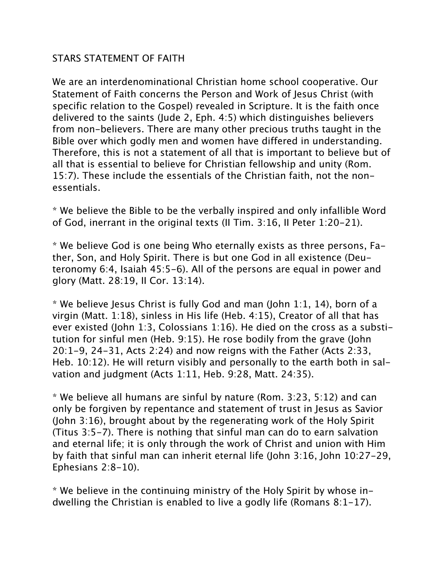## STARS STATEMENT OF FAITH

We are an interdenominational Christian home school cooperative. Our Statement of Faith concerns the Person and Work of Jesus Christ (with specific relation to the Gospel) revealed in Scripture. It is the faith once delivered to the saints (Jude 2, Eph. 4:5) which distinguishes believers from non-believers. There are many other precious truths taught in the Bible over which godly men and women have differed in understanding. Therefore, this is not a statement of all that is important to believe but of all that is essential to believe for Christian fellowship and unity (Rom. 15:7). These include the essentials of the Christian faith, not the nonessentials.

\* We believe the Bible to be the verbally inspired and only infallible Word of God, inerrant in the original texts (II Tim. 3:16, II Peter 1:20-21).

\* We believe God is one being Who eternally exists as three persons, Father, Son, and Holy Spirit. There is but one God in all existence (Deuteronomy 6:4, Isaiah 45:5-6). All of the persons are equal in power and glory (Matt. 28:19, II Cor. 13:14).

\* We believe Jesus Christ is fully God and man (John 1:1, 14), born of a virgin (Matt. 1:18), sinless in His life (Heb. 4:15), Creator of all that has ever existed (John 1:3, Colossians 1:16). He died on the cross as a substitution for sinful men (Heb. 9:15). He rose bodily from the grave (John 20:1-9, 24-31, Acts 2:24) and now reigns with the Father (Acts 2:33, Heb. 10:12). He will return visibly and personally to the earth both in salvation and judgment (Acts 1:11, Heb. 9:28, Matt. 24:35).

\* We believe all humans are sinful by nature (Rom. 3:23, 5:12) and can only be forgiven by repentance and statement of trust in Jesus as Savior (John 3:16), brought about by the regenerating work of the Holy Spirit (Titus 3:5-7). There is nothing that sinful man can do to earn salvation and eternal life; it is only through the work of Christ and union with Him by faith that sinful man can inherit eternal life (John 3:16, John 10:27-29, Ephesians 2:8-10).

\* We believe in the continuing ministry of the Holy Spirit by whose indwelling the Christian is enabled to live a godly life (Romans 8:1-17).